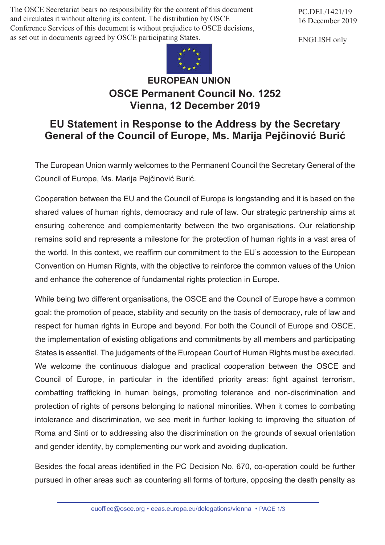The OSCE Secretariat bears no responsibility for the content of this document and circulates it without altering its content. The distribution by OSCE Conference Services of this document is without prejudice to OSCE decisions, as set out in documents agreed by OSCE participating States.

PC.DEL/1421/19 16 December 2019

ENGLISH only



## **EUROPEAN UNION OSCE Permanent Council No. 1252 Vienna, 12 December 2019**

## **EU Statement in Response to the Address by the Secretary General of the Council of Europe, Ms. Marija Pejčinović Burić**

The European Union warmly welcomes to the Permanent Council the Secretary General of the Council of Europe, Ms. Marija Pejčinović Burić.

Cooperation between the EU and the Council of Europe is longstanding and it is based on the shared values of human rights, democracy and rule of law. Our strategic partnership aims at ensuring coherence and complementarity between the two organisations. Our relationship remains solid and represents a milestone for the protection of human rights in a vast area of the world. In this context, we reaffirm our commitment to the EU's accession to the European Convention on Human Rights, with the objective to reinforce the common values of the Union and enhance the coherence of fundamental rights protection in Europe.

While being two different organisations, the OSCE and the Council of Europe have a common goal: the promotion of peace, stability and security on the basis of democracy, rule of law and respect for human rights in Europe and beyond. For both the Council of Europe and OSCE, the implementation of existing obligations and commitments by all members and participating States is essential. The judgements of the European Court of Human Rights must be executed. We welcome the continuous dialogue and practical cooperation between the OSCE and Council of Europe, in particular in the identified priority areas: fight against terrorism, combatting trafficking in human beings, promoting tolerance and non-discrimination and protection of rights of persons belonging to national minorities. When it comes to combating intolerance and discrimination, we see merit in further looking to improving the situation of Roma and Sinti or to addressing also the discrimination on the grounds of sexual orientation and gender identity, by complementing our work and avoiding duplication.

Besides the focal areas identified in the PC Decision No. 670, co-operation could be further pursued in other areas such as countering all forms of torture, opposing the death penalty as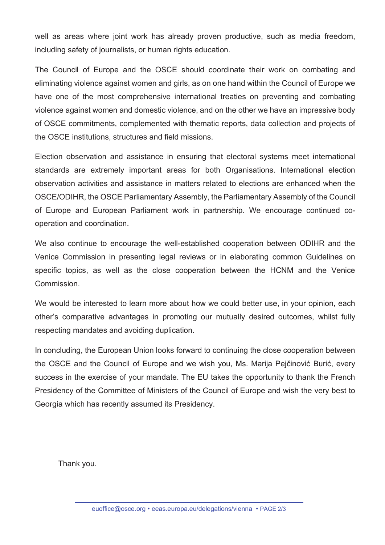well as areas where joint work has already proven productive, such as media freedom, including safety of journalists, or human rights education.

The Council of Europe and the OSCE should coordinate their work on combating and eliminating violence against women and girls, as on one hand within the Council of Europe we have one of the most comprehensive international treaties on preventing and combating violence against women and domestic violence, and on the other we have an impressive body of OSCE commitments, complemented with thematic reports, data collection and projects of the OSCE institutions, structures and field missions.

Election observation and assistance in ensuring that electoral systems meet international standards are extremely important areas for both Organisations. International election observation activities and assistance in matters related to elections are enhanced when the OSCE/ODIHR, the OSCE Parliamentary Assembly, the Parliamentary Assembly of the Council of Europe and European Parliament work in partnership. We encourage continued cooperation and coordination.

We also continue to encourage the well-established cooperation between ODIHR and the Venice Commission in presenting legal reviews or in elaborating common Guidelines on specific topics, as well as the close cooperation between the HCNM and the Venice **Commission** 

We would be interested to learn more about how we could better use, in your opinion, each other's comparative advantages in promoting our mutually desired outcomes, whilst fully respecting mandates and avoiding duplication.

In concluding, the European Union looks forward to continuing the close cooperation between the OSCE and the Council of Europe and we wish you, Ms. Marija Pejčinović Burić, every success in the exercise of your mandate. The EU takes the opportunity to thank the French Presidency of the Committee of Ministers of the Council of Europe and wish the very best to Georgia which has recently assumed its Presidency.

Thank you.